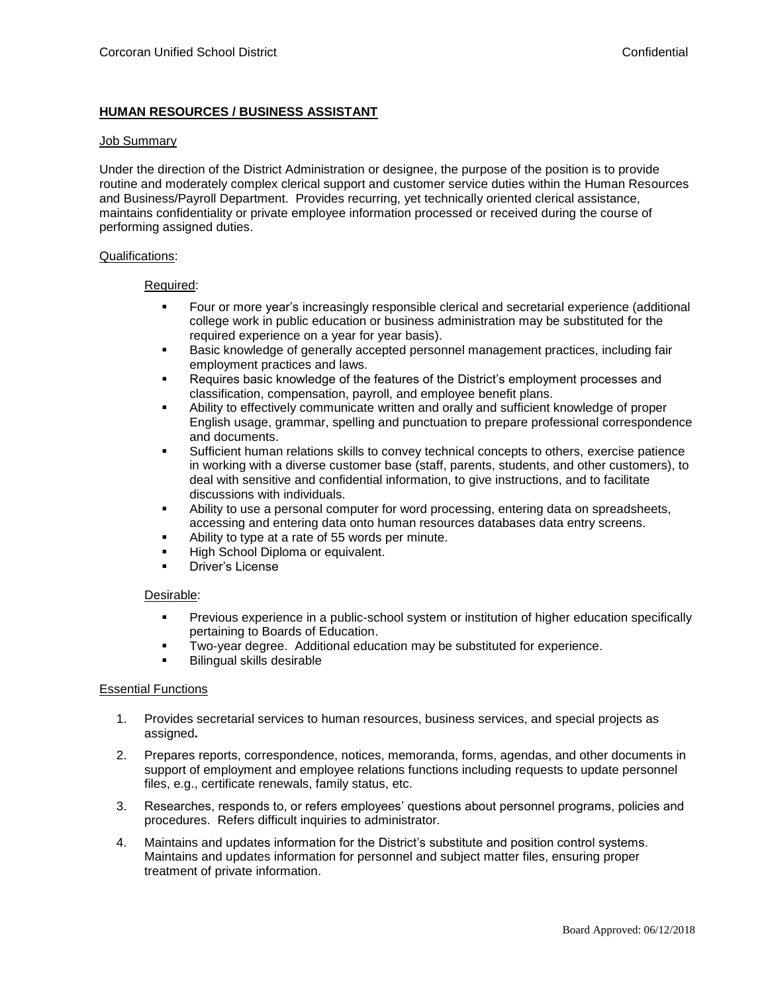# **HUMAN RESOURCES / BUSINESS ASSISTANT**

#### Job Summary

Under the direction of the District Administration or designee, the purpose of the position is to provide routine and moderately complex clerical support and customer service duties within the Human Resources and Business/Payroll Department. Provides recurring, yet technically oriented clerical assistance, maintains confidentiality or private employee information processed or received during the course of performing assigned duties.

### Qualifications:

### Required:

- Four or more year's increasingly responsible clerical and secretarial experience (additional college work in public education or business administration may be substituted for the required experience on a year for year basis).
- Basic knowledge of generally accepted personnel management practices, including fair employment practices and laws.
- Requires basic knowledge of the features of the District's employment processes and classification, compensation, payroll, and employee benefit plans.
- Ability to effectively communicate written and orally and sufficient knowledge of proper English usage, grammar, spelling and punctuation to prepare professional correspondence and documents.
- Sufficient human relations skills to convey technical concepts to others, exercise patience in working with a diverse customer base (staff, parents, students, and other customers), to deal with sensitive and confidential information, to give instructions, and to facilitate discussions with individuals.
- Ability to use a personal computer for word processing, entering data on spreadsheets, accessing and entering data onto human resources databases data entry screens.
- Ability to type at a rate of 55 words per minute.
- **High School Diploma or equivalent.**
- Driver's License

# Desirable:

- **Previous experience in a public-school system or institution of higher education specifically** pertaining to Boards of Education.
- Two-year degree. Additional education may be substituted for experience.
- Bilingual skills desirable

# **Essential Functions**

- 1. Provides secretarial services to human resources, business services, and special projects as assigned**.**
- 2. Prepares reports, correspondence, notices, memoranda, forms, agendas, and other documents in support of employment and employee relations functions including requests to update personnel files, e.g., certificate renewals, family status, etc.
- 3. Researches, responds to, or refers employees' questions about personnel programs, policies and procedures. Refers difficult inquiries to administrator.
- 4. Maintains and updates information for the District's substitute and position control systems. Maintains and updates information for personnel and subject matter files, ensuring proper treatment of private information.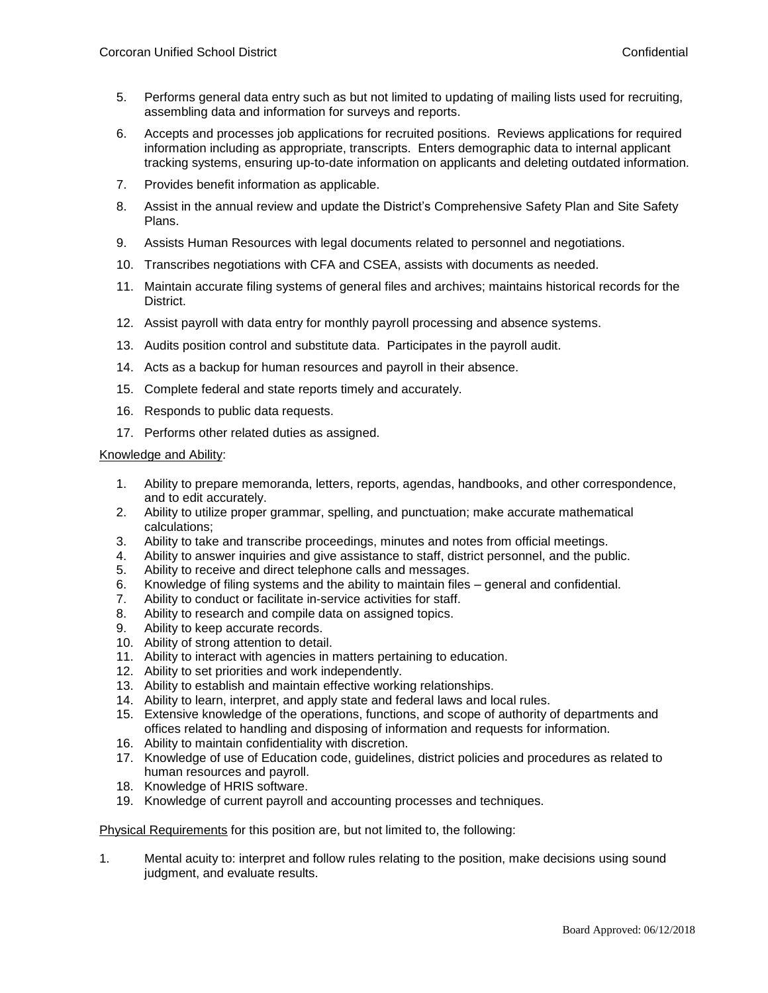- 5. Performs general data entry such as but not limited to updating of mailing lists used for recruiting, assembling data and information for surveys and reports.
- 6. Accepts and processes job applications for recruited positions. Reviews applications for required information including as appropriate, transcripts. Enters demographic data to internal applicant tracking systems, ensuring up-to-date information on applicants and deleting outdated information.
- 7. Provides benefit information as applicable.
- 8. Assist in the annual review and update the District's Comprehensive Safety Plan and Site Safety Plans.
- 9. Assists Human Resources with legal documents related to personnel and negotiations.
- 10. Transcribes negotiations with CFA and CSEA, assists with documents as needed.
- 11. Maintain accurate filing systems of general files and archives; maintains historical records for the District.
- 12. Assist payroll with data entry for monthly payroll processing and absence systems.
- 13. Audits position control and substitute data. Participates in the payroll audit.
- 14. Acts as a backup for human resources and payroll in their absence.
- 15. Complete federal and state reports timely and accurately.
- 16. Responds to public data requests.
- 17. Performs other related duties as assigned.

# Knowledge and Ability:

- 1. Ability to prepare memoranda, letters, reports, agendas, handbooks, and other correspondence, and to edit accurately.
- 2. Ability to utilize proper grammar, spelling, and punctuation; make accurate mathematical calculations;
- 3. Ability to take and transcribe proceedings, minutes and notes from official meetings.
- 4. Ability to answer inquiries and give assistance to staff, district personnel, and the public.
- 5. Ability to receive and direct telephone calls and messages.
- 6. Knowledge of filing systems and the ability to maintain files general and confidential.
- 7. Ability to conduct or facilitate in-service activities for staff.
- 8. Ability to research and compile data on assigned topics.
- 9. Ability to keep accurate records.
- 10. Ability of strong attention to detail.
- 11. Ability to interact with agencies in matters pertaining to education.
- 12. Ability to set priorities and work independently.
- 13. Ability to establish and maintain effective working relationships.
- 14. Ability to learn, interpret, and apply state and federal laws and local rules.
- 15. Extensive knowledge of the operations, functions, and scope of authority of departments and offices related to handling and disposing of information and requests for information.
- 16. Ability to maintain confidentiality with discretion.
- 17. Knowledge of use of Education code, guidelines, district policies and procedures as related to human resources and payroll.
- 18. Knowledge of HRIS software.
- 19. Knowledge of current payroll and accounting processes and techniques.

Physical Requirements for this position are, but not limited to, the following:

1. Mental acuity to: interpret and follow rules relating to the position, make decisions using sound judgment, and evaluate results.